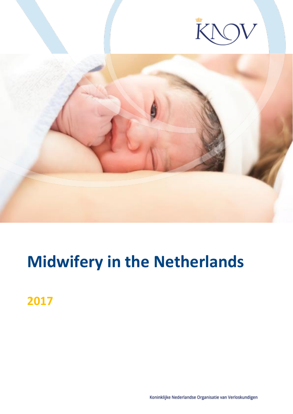



# **Midwifery in the Netherlands**

**2017**

Koninklijke Nederlandse Organisatie van Verloskundigen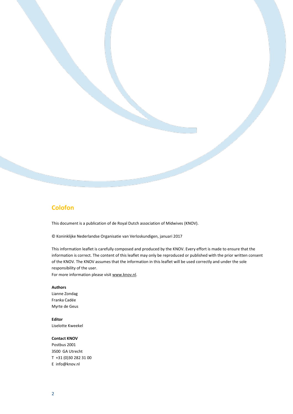#### **Colofon**

This document is a publication of de Royal Dutch association of Midwives (KNOV).

© Koninklijke Nederlandse Organisatie van Verloskundigen, januari 2017

This information leaflet is carefully composed and produced by the KNOV. Every effort is made to ensure that the information is correct. The content of this leaflet may only be reproduced or published with the prior written consent of the KNOV. The KNOV assumes that the information in this leaflet will be used correctly and under the sole responsibility of the user.

For more information please visi[t www.knov.nl.](http://www.knov.nl/)

#### **Authors**

Lianne Zondag Franka Cadée Myrte de Geus

**Editor** Liselotte Kweekel

#### **Contact KNOV**

Postbus 2001 3500 GA Utrecht T +31 (0)30 282 31 00 E info@knov.nl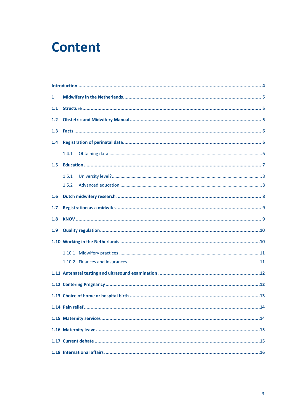## **Content**

| 1   |       |  |
|-----|-------|--|
| 1.1 |       |  |
| 1.2 |       |  |
| 1.3 |       |  |
| 1.4 |       |  |
|     | 1.4.1 |  |
| 1.5 |       |  |
|     | 1.5.1 |  |
|     | 1.5.2 |  |
| 1.6 |       |  |
| 1.7 |       |  |
| 1.8 |       |  |
| 1.9 |       |  |
|     |       |  |
|     |       |  |
|     |       |  |
|     |       |  |
|     |       |  |
|     |       |  |
|     |       |  |
|     |       |  |
|     |       |  |
|     |       |  |
|     |       |  |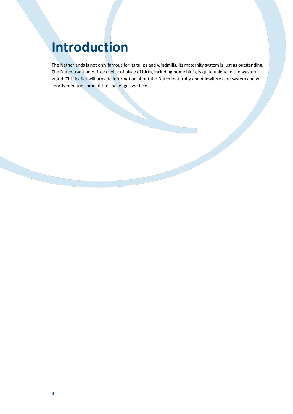## <span id="page-3-0"></span>**Introduction**

The Netherlands is not only famous for its tulips and windmills, its maternity system is just as outstanding. The Dutch tradition of free choice of place of birth, including home birth, is quite unique in the western world. This leaflet will provide information about the Dutch maternity and midwifery care system and will shortly mention some of the challenges we face.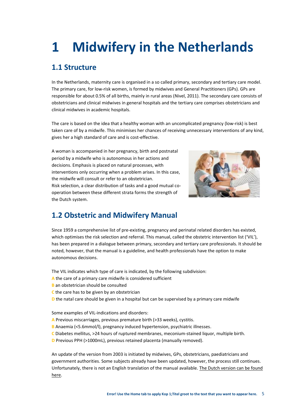# <span id="page-4-0"></span>**1 Midwifery in the Netherlands**

## <span id="page-4-1"></span>**1.1 Structure**

In the Netherlands, maternity care is organised in a so called primary, secondary and tertiary care model. The primary care, for low-risk women, is formed by midwives and General Practitioners (GPs). GPs are responsible for about 0.5% of all births, mainly in rural areas (Nivel, 2011). The secondary care consists of obstetricians and clinical midwives in general hospitals and the tertiary care comprises obstetricians and clinical midwives in academic hospitals.

The care is based on the idea that a healthy woman with an uncomplicated pregnancy (low-risk) is best taken care of by a midwife. This minimises her chances of receiving unnecessary interventions of any kind, gives her a high standard of care and is cost-effective.

A woman is accompanied in her pregnancy, birth and postnatal period by a midwife who is autonomous in her actions and decisions. Emphasis is placed on natural processes, with interventions only occurring when a problem arises. In this case, the midwife will consult or refer to an obstetrician. Risk selection, a clear distribution of tasks and a good mutual cooperation between these different strata forms the strength of the Dutch system.



## <span id="page-4-2"></span>**1.2 Obstetric and Midwifery Manual**

Since 1959 a comprehensive list of pre-existing, pregnancy and perinatal related disorders has existed, which optimises the risk selection and referral. This manual, called the obstetric intervention list ('VIL'), has been prepared in a dialogue between primary, secondary and tertiary care professionals. It should be noted, however, that the manual is a guideline, and health professionals have the option to make autonomous decisions.

The VIL indicates which type of care is indicated, by the following subdivision:

- **A** the care of a primary care midwife is considered sufficient
- **B** an obstetrician should be consulted
- **C** the care has to be given by an obstetrician
- **D** the natal care should be given in a hospital but can be supervised by a primary care midwife

Some examples of VIL-indications and disorders:

- **A** Previous miscarriages, previous premature birth (>33 weeks), cystitis.
- **B** Anaemia (<5.6mmol/l), pregnancy induced hypertension, psychiatric illnesses.
- **C** Diabetes mellitus, >24 hours of ruptured membranes, meconium-stained liquor, multiple birth.
- **D** Previous PPH (>1000mL), previous retained placenta (manually removed).

An update of the version from 2003 is initiated by midwives, GPs, obstetricians, paediatricians and government authorities. Some subjects already have been updated, however, the process still continues. Unfortunately, there is not an English translation of the manual available. [The Dutch version can be found](http://www.knov.nl/uploads/knov.nl/knov_downloads/769/file/Verloskundig%20Vademecum%202003.pdf)  [here.](http://www.knov.nl/uploads/knov.nl/knov_downloads/769/file/Verloskundig%20Vademecum%202003.pdf)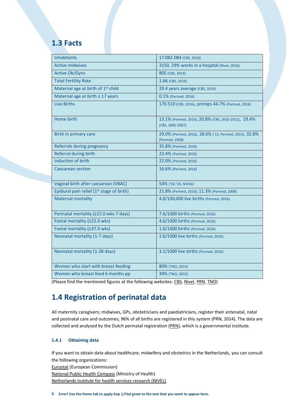#### <span id="page-5-0"></span>**1.3 Facts**

| <b>Inhabitants</b>                                    | 17.082.084 (CBS, 2016)                                                      |
|-------------------------------------------------------|-----------------------------------------------------------------------------|
| <b>Active midwives</b>                                | 3150, 29% works in a hospital (Nivel, 2016)                                 |
| <b>Active Ob/Gyns</b>                                 | 805 (CBS, 2014)                                                             |
| <b>Total Fertility Rate</b>                           | 1.66 (CBS, 2016)                                                            |
| Maternal age at birth of 1 <sup>st</sup> child        | 29.4 years average (CBS, 2016)                                              |
| Maternal age at birth $\leq 17$ years                 | 0.1% (Perined, 2016)                                                        |
| <b>Live Births</b>                                    | 170.510 (CBS, 2016), primips 44.7% (Perined, 2016)                          |
| Home birth                                            | 13.1% (Perined, 2016), 20.8% (CBS, 2010-2012), 29.4%<br>(CBS, 2005-2007)    |
| Birth in primary care                                 | 29.0% (Perined, 2016), 28.6% ('13, Perined, 2013), 32.8%<br>(Perined, 2008) |
| Referrals during pregnancy                            | 35.8% (Perined, 2016)                                                       |
| <b>Referral during birth</b>                          | 22.4% (Perined, 2016)                                                       |
| Induction of birth                                    | 22.0% (Perined, 2016)                                                       |
| <b>Caesarean section</b>                              | 16.6% (Perined, 2016)                                                       |
| Vaginal birth after caesarean (VBAC)                  | 54% ('02-'03, NVOG)                                                         |
| Epidural pain relief (1 <sup>st</sup> stage of birth) | 21.8% (Perined, 2016); 11.3% (Perined, 2008)                                |
| <b>Maternal mortality</b>                             | 4.8/100,000 live births (Perined, 2016)                                     |
| Perinatal mortality (≥22.0 wks-7 days)                | 7.6/1000 births (Perined, 2016)                                             |
| Foetal mortality (≥22.0 wks)                          | 4.6/1000 births (Perined, 2016)                                             |
| Foetal mortality (≥37.0 wks)                          | 1.0/1000 births (Perined, 2016)                                             |
| Neonatal mortality (1-7 days)                         | 2.6/1000 live births (Perined, 2016)                                        |
| Neonatal mortality (1-28 days)                        | 3.1/1000 live births (Perined, 2016)                                        |
| Women who start with breast feeding                   | 80% (TNO, 2015)                                                             |
| Women who breast feed 6 months pp                     | 39% (TNO, 2015)                                                             |

(Please find the mentioned figures at the following websites: [CBS,](https://www.cbs.nl/en-gb) [Nivel,](http://www.nivel.nl/en) [PRN,](https://www.perined.nl/producten/publicaties/jaarboeken) [TNO\)](https://www.tno.nl/groep.cfm?context=thema&content=prop_cases&laag1=891&laag2=902&laag3=138&item_id=138)

## <span id="page-5-1"></span>**1.4 Registration of perinatal data**

All maternity caregivers; midwives, GPs, obstetricians and paediatricians, register their antenatal, natal and postnatal care and outcomes; 96% of all births are registered in this system (PRN, 2014). The data are collected and analysed by the Dutch perinatal registration [\(PRN\)](https://www.perined.nl/), which is a governmental institute.

#### <span id="page-5-2"></span>**1.4.1 Obtaining data**

If you want to obtain data about healthcare, midwifery and obstetrics in the Netherlands, you can consult the following organizations:

[Eurostat](http://ec.europa.eu/eurostat) (European Commission)

[National Public Health Compass](https://www.volksgezondheidenzorg.info/onderwerp/english/introduction) (Ministry of Health) [Netherlands institute for health services research \(NIVEL\)](http://www.nivel.nl/en/)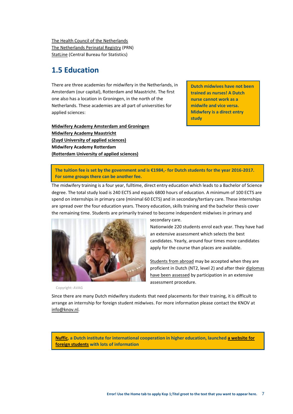[The Health Council of the Netherlands](http://www.gezondheidsraad.nl/en) [The Netherlands Perinatal Registry](https://www.perined.nl/) (PRN) [StatLine](http://statline.cbs.nl/statweb/?LA=en) (Central Bureau for Statistics)

## <span id="page-6-0"></span>**1.5 Education**

There are three academies for midwifery in the Netherlands, in Amsterdam (our capital), Rotterdam and Maastricht. The first one also has a location in Groningen, in the north of the Netherlands. These academies are all part of universities for applied sciences:

**[Midwifery Academy Amsterdam](http://www.verloskunde-academie.nl/) and Groningen Midwifer[y Academy](http://www.av-m.nl/home-en) Maastricht [\(Zuyd University of applied sciences\)](http://www.zuyd.nl/studeren) Midwifery Academy Rotterdam [\(Rotterdam University of applied sciences\)](http://www.rotterdamuas.com/)**

**Dutch midwives have not been trained as nurses! A Dutch nurse cannot work as a midwife and vice versa. Midwfery is a direct entry study**

**The tuition fee is set by the government and is €1984,- for Dutch students for the year 2016-2017. For some groups there can be another fee.**

The midwifery training is a four year, fulltime, direct entry education which leads to a Bachelor of Science degree. The total study load is 240 ECTS and equals 6800 hours of education. A minimum of 100 ECTS are spend on internships in primary care (minimal 60 ECTS) and in secondary/tertiary care. These internships are spread over the four education years. Theory education, skills training and the bachelor thesis cover the remaining time. Students are primarily trained to become independent midwives in primary and



Copyright: AVAG

secondary care.

Nationwide 220 students enrol each year. They have had an extensive assessment which selects the best candidates. Yearly, around four times more candidates apply for the course than places are available.

[Students from abroad](http://info.studielink.nl/en/studenten/hoegebruikjestudielink/Pages/hoe-werkt-studielink.aspx) may be accepted when they are proficient in Dutch (NT2, level 2) and after their [diplomas](http://www.nuffic.nl/international-students/how-to-prepare/diploma-evaluation)  [have been assessed](http://www.nuffic.nl/international-students/how-to-prepare/diploma-evaluation) by participation in an extensive assessment procedure.

Since there are many Dutch midwifery students that need placements for their training, it is difficult to arrange an internship for foreign student midwives. For more information please contact the KNOV at [info@knov.nl.](mailto:info@knov.nl)

**[Nuffic,](https://www.epnuffic.nl/en) a Dutch institute for international cooperation in higher education, launched [a website for](https://www.studyinholland.nl/)  [foreign students](https://www.studyinholland.nl/) with lots of information**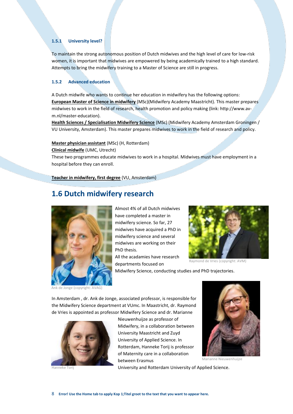#### <span id="page-7-0"></span>**1.5.1 University level?**

To maintain the strong autonomous position of Dutch midwives and the high level of care for low-risk women, it is important that midwives are empowered by being academically trained to a high standard. Attempts to bring the midwifery training to a Master of Science are still in progress.

#### <span id="page-7-1"></span>**1.5.2 Advanced education**

A Dutch midwife who wants to continue her education in midwifery has the following options: **[European Master of Science in midwifery](http://www.av-m.nl/midwifery-study-en/master-midwifery)** (MSc)(Midwifery Academy Maastricht). This master prepares midwives to work in the field of research, health promotion and policy making (link: http://www.avm.nl/master-education).

**[Health Sciences / Specialisation Midwifery Science](http://www.verloskunde-academie.nl/master-midwifery-science/)** (MSc) (Midwifery Academy Amsterdam Groningen / VU University, Amsterdam). This master prepares midwives to work in the field of research and policy.

#### **[Master physician assistant](https://www.hogeschoolrotterdam.nl/opleidingen/master/physician-assistant-klinisch-verloskundige/duaal/)** (MSc) (H, Rotterdam)

**[Clinical midwife](http://www.umcutrecht.nl/nl/Opleidingen/Opleidingen-voor-zorgprofessionals/Ons-aanbod/Klinisch-verloskundige)** (UMC, Utrecht)

These two programmes educate midwives to work in a hospital. Midwives must have employment in a hospital before they can enroll.

**[Teacher in midwifery, first degree](http://www.exposz.nl/zorg/master-docent-hgzo-opleiding/)** (VU, Amsterdam)

#### <span id="page-7-2"></span>**1.6 Dutch midwifery research**



Ank de Jonge (copyright: AVAG)

Almost 4% of all Dutch midwives have completed a master in midwifery science. So far, 27 midwives have acquired a PhD in midwifery science and several midwives are working on their PhD thesis.

All the acadamies have research departments focused on



Raymond de Vries (copyright: AVM)

Midwifery Science, conducting studies and PhD trajectories.

In Amsterdam , dr. Ank de Jonge, associated professor, is responsible for the Midwifery Science department at VUmc. In Maastricht, dr. Raymond de Vries is appointed as professor Midwifery Science and dr. Marianne





Nieuwenhuijze as professor of Midwifery, in a collaboration between University Maastricht and Zuyd University of Applied Science. In Rotterdam, Hanneke Torij is professor of Maternity care in a collaboration between Erasmus



Marianne Nieuwenhuijze

University and Rotterdam University of Applied Science.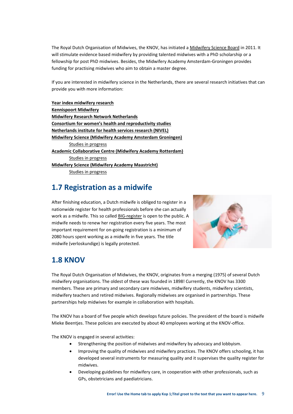The Royal Dutch Organisation of Midwives, the KNOV, has initiated a [Midwifery Science Board](http://www.knov.nl/vakkennis-en-wetenschap/tekstpagina/436/wetenschapscommissie/) in 2011. It will stimulate evidence based midwifery by providing talented midwives with a PhD scholarship or a fellowship for post PhD midwives. Besides, the Midwifery Academy Amsterdam-Groningen provides funding for practising midwives who aim to obtain a master degree.

If you are interested in midwifery science in the Netherlands, there are several research initiatives that can provide you with more information:

**[Year index midwifery research](http://www.kennispoort-verloskunde.nl/jaarindex/)  [Kennispoort Midwifery](http://www.kennispoort-verloskunde.nl/) [Midwifery Research Network](http://www.mrnn.nl/) Netherlands [Consortium for women's health and reproductivity studies](http://www.studies-obsgyn.nl/home/page.asp?page_id=326) [Netherlands institute for health services research \(NIVEL\)](http://www.nivel.nl/en) [Midwifery Science \(Midwifery Academy Amsterdam Groningen\)](http://www.verloskunde-academie.nl/English)** [Studies in progress](http://www.emgo.nl/team/) **[Academic Collaborative Centre \(Midwifery Academy Rotterdam\)](http://www3.hro.nl/nl/Subsites/ivg/Rubrieken/Onderzoek/Kenniscentrum-Zorginnovatie/Academische-werkplaats-VAR/)** [Studies in progress](http://www3.hro.nl/nl/Subsites/ivg/Rubrieken/Onderzoek/Kenniscentrum-Zorginnovatie/Academische-werkplaats-VAR/Lopend-onderzoek/) **[Midwifery Science \(Midwifery Academy Maastricht\)](http://www.av-m.nl/midwifery-science)** [Studies in progress](http://www.av-m.nl/midwifery-science/studies-in-progress)

## <span id="page-8-0"></span>**1.7 Registration as a midwife**

After finishing education, a Dutch midwife is obliged to register in a nationwide register for health professionals before she can actually work as a midwife. This so calle[d BIG-register](http://www.bigregister.nl/en/) is open to the public. A midwife needs to renew her registration every five years. The most important requirement for on-going registration is a minimum of 2080 hours spent working as a midwife in five years. The title midwife (verloskundige) is legally protected.



## <span id="page-8-1"></span>**1.8 KNOV**

The Royal Dutch Organisation of Midwives, the KNOV, originates from a merging (1975) of several Dutch midwifery organisations. The oldest of these was founded in 1898! Currently, the KNOV has 3300 members. These are primary and secondary care midwives, midwifery students, midwifery scientists, midwifery teachers and retired midwives. Regionally midwives are organised in partnerships. These partnerships help midwives for example in collaboration with hospitals.

The KNOV has a board of five people which develops future policies. The president of the board is midwife Mieke Beentjes. These policies are executed by about 40 employees working at the KNOV-office.

The KNOV is engaged in several activities:

- Strengthening the position of midwives and midwifery by advocacy and lobbyism.
- Improving the quality of midwives and midwifery practices. The KNOV offers schooling, it has developed several instruments for measuring quality and it supervises the quality register for midwives.
- Developing guidelines for midwifery care, in cooperation with other professionals, such as GPs, obstetricians and paediatricians.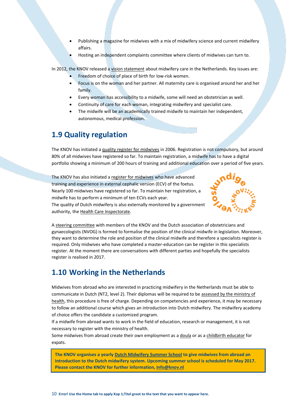- Publishing a magazine for midwives with a mix of midwifery science and current midwifery affairs.
- Hosting an independent complaints committee where clients of midwives can turn to.

In 2012, the KNOV released a [vision statement](http://www.knov.nl/samenwerken/tekstpagina/489/midwifery-in-the-netherlands/) about midwifery care in the Netherlands. Key issues are:

- Freedom of choice of place of birth for low-risk women.
- Focus is on the woman and her partner. All maternity care is organised around her and her family.
- Every woman has accessibility to a midwife, some will need an obstetrician as well.
- Continuity of care for each woman, integrating midwifery and specialist care.
- The midwife will be an academically trained midwife to maintain her independent, autonomous, medical profession.

## <span id="page-9-0"></span>**1.9 Quality regulation**

The KNOV has initiated a [quality register for midwives](http://www.kwaliteitsregisterverloskundigen.nl/) in 2006. Registration is not compulsory, but around 80% of all midwives have registered so far. To maintain registration, a midwife has to have a digital portfolio showing a minimum of 200 hours of training and additional education over a period of five years.

The KNOV has also initiated [a register for midwives](http://www.knov.nl/scholing-en-registratie/tekstpagina/443/registers/hoofdstuk/272/versieregister/) who have advanced training and experience in external cephalic version (ECV) of the foetus. Nearly 100 midwives have registered so far. To maintain her registration, a midwife has to perform a minimum of ten ECVs each year. The quality of Dutch midwifery is also externally monitored by a government authority, the [Health Care Inspectorate.](http://www.igz.nl/english/) 



A [steering committee](http://www.knov.nl/werk-en-organisatie/tekstpagina/479/positionering-klinisch-verloskundigen/) with members of the KNOV and the Dutch association of obstetricians and gynaecologists (NVOG) is formed to formalise the position of the clinical midwife in legislation. Moreover, they want to determine the role and position of the clinical midwife and therefore a specialists register is required. Only midwives who have completed a master-education can be register in this specialists register. At the moment there are conversations with different parties and hopefully the specialists register is realised in 2017.

## <span id="page-9-1"></span>**1.10 Working in the Netherlands**

Midwives from abroad who are interested in practicing midwifery in the Netherlands must be able to communicate in Dutch (NT2, level 2). Their diplomas will be required to be [assessed by the ministry of](http://www.bigregister.nl/en/registration/withaforeigndiploma/)  [health,](http://www.bigregister.nl/en/registration/withaforeigndiploma/) this procedure is free of charge. Depending on competencies and experience, it may be necessary to follow an additional course which gives an introduction into Dutch midwifery. The midwifery academy of choice offers the candidate a customized program.

If a midwife from abroad wants to work in the field of education, research or management, it is not necessary to register with the ministry of health.

Some midwives from abroad create their own employment as [a doula](http://www.doula.nl/) or as [a childbirth educator](http://www.birthinholland.nl/) for expats.

**The KNOV organises a yearly Dutch Midwifery Summer School to give midwives from abroad an introduction to the Dutch midwifery system. Upcoming summer school is scheduled for May 2017. Please contact the KNOV for further information, info@knov.nl**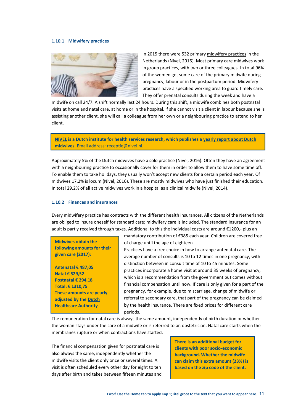#### <span id="page-10-0"></span>**1.10.1 Midwifery practices**



In 2015 there were 532 primary [midwifery practices](http://www.nivel.nl/sites/all/modules/custom/wwwopac/adlib/publicationDetails.php?database=ChoicePublicat&priref=1002918&width=650&height=500&iframe=true) in the Netherlands (Nivel, 2016). Most primary care midwives work in group practices, with two or three colleagues. In total 96% of the women get some care of the primary midwife during pregnancy, labour or in the postpartum period. Midwifery practices have a specified working area to guard timely care. They offer prenatal consults during the week and have a

midwife on call 24/7. A shift normally last 24 hours. During this shift, a midwife combines both postnatal visits at home and natal care, at home or in the hospital. If she cannot visit a client in labour because she is assisting another client, she will call a colleague from her own or a neighbouring practice to attend to her client.

**[NIVEL](http://www.nivel.nl/en) is a Dutch institute for health services research, which publishes a [yearly report about Dutch](http://www.nivel.nl/sites/default/files/Cijfers-uit-de-registratie-van-verloskundigen-peiling-jan-2014.pdf)  [midwives.](http://www.nivel.nl/sites/default/files/Cijfers-uit-de-registratie-van-verloskundigen-peiling-jan-2014.pdf)** Email address: receptie@nivel.nl.

Approximately 5% of the Dutch midwives have a solo practice (Nivel, 2016). Often they have an agreement with a neighbouring practice to occasionally cover for them in order to allow them to have some time off. To enable them to take holidays, they usually won't accept new clients for a certain period each year. Of midwives 17.2% is locum (Nivel, 2016). These are mostly midwives who have just finished their education. In total 29.2% of all active midwives work in a hospital as a clinical midwife (Nivel, 2014).

#### <span id="page-10-1"></span>**1.10.2 Finances and insurances**

Every midwifery practice has contracts with the different health insurances. All citizens of the Netherlands are obliged to insure oneself for standard care; midwifery care is included. The standard insurance for an adult is partly received through taxes. Additional to this the individual costs are around €1200,- plus an

**Midwives obtain the following amounts for their given care (2017):**

**Antenatal € 487,05 Natal € 529,52 Postnatal € 294,18 Total: € 1310,75 These amounts are yearly adjusted by the [Dutch](http://www.nza.nl/organisatie/sitewide/english/)  [Healthcare Authority](http://www.nza.nl/organisatie/sitewide/english/)**

mandatory contribution of €385 each year. Children are covered free of charge until the age of eighteen.

Practices have a free choice in how to arrange antenatal care. The average number of consults is 10 to 12 times in one pregnancy, with distinction between in consult time of 10 to 45 minutes. Some practices incorporate a home visit at around 35 weeks of pregnancy, which is a recommendation from the government but comes without financial compensation until now. If care is only given for a part of the pregnancy, for example, due to miscarriage, change of midwife or referral to secondary care, that part of the pregnancy can be claimed by the health insurance. There are fixed prices for different care periods.

The remuneration for natal care is always the same amount, independently of birth duration or whether the woman stays under the care of a midwife or is referred to an obstetrician. Natal care starts when the membranes rupture or when contractions have started.

The financial compensation given for postnatal care is also always the same, independently whether the midwife visits the client only once or several times. A visit is often scheduled every other day for eight to ten days after birth and takes between fifteen minutes and **There is an additional budget for clients with poor socio-economic background. Whether the midwife can claim this extra amount (23%) is based on the zip code of the client.**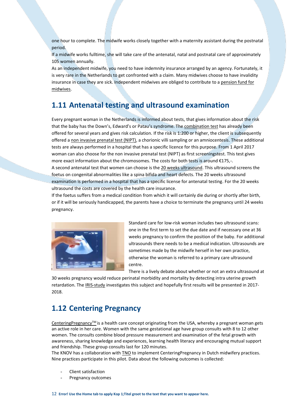one hour to complete. The midwife works closely together with a maternity assistant during the postnatal period.

If a midwife works fulltime, she will take care of the antenatal, natal and postnatal care of approximately 105 women annually.

As an independent midwife, you need to have indemnity insurance arranged by an agency. Fortunately, it is very rare in the Netherlands to get confronted with a claim. Many midwives choose to have invalidity insurance in case they are sick. Independent midwives are obliged to contribute to a [pension fund for](https://www.pensioenfondsverloskundigen.nl/Pages/default.aspx)  [midwives.](https://www.pensioenfondsverloskundigen.nl/Pages/default.aspx)

#### <span id="page-11-0"></span>**1.11 Antenatal testing and ultrasound examination**

Every pregnant woman in the Netherlands is informed about tests, that gives information about the risk that the baby has the Down's, Edward's or Patau's syndrome. The [combination test](http://www.rivm.nl/en/Topics/D/Down_s_syndrome_screening) has already been offered for several years and gives risk calculation. If the risk is 1:200 or higher, the client is subsequently offered [a non invasive prenatal test \(NIPT\),](http://www.knov.nl/vakkennis-en-wetenschap/tekstpagina/504/non-invasieve-prenatale-test-nipt/) a chorionic villi sampling or an amniocentesis. These additional tests are always performed in a hospital that has a specific licence for this purpose. From 1 April 2017 woman can also choose for the non invasive prenatal test (NIPT) as first screeningstest. This test gives more exact information about the chromosomes. The costs for both tests is around €175,-. A second antenatal test that women can choose is the [20 weeks ultrasound.](http://www.rivm.nl/en/Documents_and_publications/Common_and_Present/Brochures/Disease_Prevention_and_Healthcare/Twenty_week_ultrasound/Information_on_the_anomaly_scan_20_week_ultrasound_available_in_10_languages) This ultrasound screens the foetus on congenital abnormalities like a spina bifida and heart defects. The 20 weeks ultrasound examination is performed in a hospital that has a specific license for antenatal testing. For the 20 weeks ultrasound the costs are covered by the health care insurance.

If the foetus suffers from a medical condition from which it will certainly die during or shortly after birth, or if it will be seriously handicapped, the parents have a choice to terminate the pregnancy until 24 weeks pregnancy.



Standard care for low-risk woman includes two ultrasound scans: one in the first term to set the due date and if necessary one at 36 weeks pregnancy to confirm the position of the baby. For additional ultrasounds there needs to be a medical indication. Ultrasounds are sometimes made by the midwife herself in her own practice, otherwise the woman is referred to a primary care ultrasound centre.

There is a lively debate about whether or not an extra ultrasound at

30 weeks pregnancy would reduce perinatal morbidity and mortality by detecting intra uterine growth retardation. Th[e IRIS-study](http://www.irisstudie.nl/English-study-information/) investigates this subject and hopefully first results will be presented in 2017-2018.

#### <span id="page-11-1"></span>**1.12 Centering Pregnancy**

[CenteringPregnancy](http://www.centeringhealthcare.nl/)™ is a health care concept originating from the USA, whereby a pregnant woman gets an active role in her care. Women with the same gestational age have group consults with 8 to 12 other women. The consults combine blood pressure measurement and examination of the fetal growth with awareness, sharing knowledge and experiences, learning health literacy and encouraging mutual support and friendship. These group consults last for 120 minutes.

The KNOV has a collaboration with [TNO](https://www.tno.nl/nl/) to implement CenteringPregnancy in Dutch midwifery practices. Nine practices participate in this pilot. Data about the following outcomes is collected:

- Client satisfaction
- Pregnancy outcomes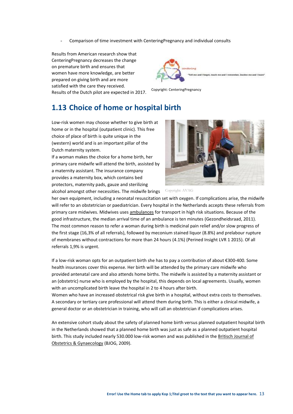- Comparison of time investment with CenteringPregnancy and individual consults

Results from American research show that CenteringPregnancy decreases the change on premature birth and ensures that women have more knowledge, are better prepared on giving birth and are more satisfied with the care they received. Results of the Dutch pilot are expected in 2017.

ne and I forget, teach me and I re

Copyright: CenteringPregnancy

#### <span id="page-12-0"></span>**1.13 Choice of home or hospital birth**

Low-risk women may choose whether to give birth at home or in the hospital (outpatient clinic). This free choice of place of birth is quite unique in the (western) world and is an important pillar of the Dutch maternity system.

If a woman makes the choice for a home birth, her primary care midwife will attend the birth, assisted by a maternity assistant. The insurance company provides a maternity box, which contains bed protectors, maternity pads, gauze and sterilizing alcohol amongst other necessities. The midwife brings  $\sim$  Copyright: AVAG



her own equipment, including a neonatal resuscitation set with oxygen. If complications arise, the midwife will refer to an obstetrician or paediatrician. Every hospital in the Netherlands accepts these referrals from primary care midwives. Midwives uses [ambulances](http://www.nivel.nl/sites/default/files/bestanden/organisatie-spoedzorg-verloskundige-keten.pdf) for transport in high risk situations. Because of the good infrastructure, the median arrival time of an ambulance is ten minutes (Gezondheidsraad, 2011). The most common reason to refer a woman during birth is medicinal pain relief and/or slow progress of the first stage (16,3% of all referrals), followed by meconium stained liquor (8.8%) and prelabour rupture of membranes without contractions for more than 24 hours (4.1%) (Perined Insight LVR 1 2015). Of all referrals 1,9% is urgent.

If a low-risk woman opts for an outpatient birth she has to pay a contribution of about €300-400. Some health insurances cover this expense. Her birth will be attended by the primary care midwife who provided antenatal care and also attends home births. The midwife is assisted by a maternity assistant or an (obstetric) nurse who is employed by the hospital, this depends on local agreements. Usually, women with an uncomplicated birth leave the hospital in 2 to 4 hours after birth.

Women who have an increased obstetrical risk give birth in a hospital, without extra costs to themselves. A secondary or tertiary care professional will attend them during birth. This is either a clinical midwife, a general doctor or an obstetrician in training, who will call an obstetrician if complications arises.

An extensive cohort study about the safety of planned home birth versus planned outpatient hospital birth in the Netherlands showed that a planned home birth was just as safe as a planned outpatient hospital birth. This study included nearly 530.000 low-risk women and was published in the [Britisch Journal of](http://onlinelibrary.wiley.com/doi/10.1111/j.1471-0528.2009.02175.x/full)  [Obstetrics & Gynaecology](http://onlinelibrary.wiley.com/doi/10.1111/j.1471-0528.2009.02175.x/full) (BJOG, 2009).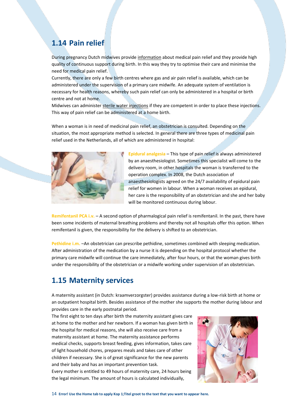## <span id="page-13-0"></span>**1.14 Pain relief**

During pregnancy Dutch midwives provid[e information](http://www.knov.nl/uploads/knov.nl/knov_downloads/499/file/Pijn-Engels_printversie.pdf) about medical pain relief and they provide high quality of continuous support during birth. In this way they try to optimise their care and minimise the need for medical pain relief.

Currently, there are only a few birth centres where gas and air pain relief is available, which can be administered under the supervision of a primary care midwife. An adequate system of ventilation is necessary for health reasons, whereby such pain relief can only be administered in a hospital or birth centre and not at home.

Midwives can administe[r sterile water injections](http://www.knov.nl/vakkennis-en-wetenschap/tekstpagina/254/pijnbehandeling/hoofdstuk/788/steriel-waterinjecties/) if they are competent in order to place these injections. This way of pain relief can be administered at a home birth.

When a woman is in need of medicinal pain relief, an obstetrician is consulted. Depending on the situation, the most appropriate method is selected. In general there are three types of medicinal pain relief used in the Netherlands, all of which are administered in hospital:



**Epidural analgesia** – This type of pain relief is always administered by an anaesthesiologist. Sometimes this specialist will come to the delivery room, in other hospitals the woman is transferred to the operation complex. In 2008, the Dutch association of anaesthesiologists agreed on the 24/7 availability of epidural pain relief for women in labour. When a woman receives an epidural, her care is the responsibility of an obstetrician and she and her baby will be monitored continuous during labour.

**Remifentanil PCA i.v.** – A second option of pharmalogical pain relief is remifentanil. In the past, there have been some incidents of maternal breathing problems and thereby not all hospitals offer this option. When remifentanil is given, the responsibility for the delivery is shifted to an obstetrician.

**Pethidine i.m.** –An obstetrician can prescribe pethidine, sometimes combined with sleeping medication. After administration of the medication by a nurse it is depending on the hospital protocol whether the primary care midwife will continue the care immediately, after four hours, or that the woman gives birth under the responsibility of the obstetrician or a midwife working under supervision of an obstetrician.

#### <span id="page-13-1"></span>**1.15 Maternity services**

A maternity assistant (in Dutch: kraamverzorgster) provides assistance during a low-risk birth at home or an outpatient hospital birth. Besides assistance of the mother she supports the mother during labour and provides care in the early postnatal period.

The first eight to ten days after birth the maternity assistant gives care at home to the mother and her newborn. If a woman has given birth in the hospital for medical reasons, she will also receive care from a maternity assistant at home. The maternity assistance performs medical checks, supports breast feeding, gives information, takes care of light household chores, prepares meals and takes care of other children if necessary. She is of great significance for the new parents and their baby and has an important prevention task.

Every mother is entitled to 49 hours of maternity care, 24 hours being the legal minimum. The amount of hours is calculated individually,

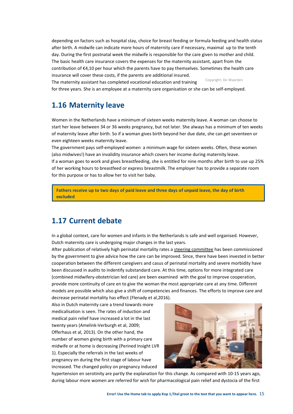depending on factors such as hospital stay, choice for breast feeding or formula feeding and health status after birth. A midwife can indicate more hours of maternity care if necessary, maximal up to the tenth day. During the first postnatal week the midwife is responsible for the care given to mother and child. The basic health care insurance covers the expenses for the maternity assistant, apart from the contribution of €4,10 per hour which the parents have to pay themselves. Sometimes the health care insurance will cover these costs, if the parents are additional insured.

The maternity assistant has completed vocational education and training for three years. She is an employee at a maternity care organisation or she can be self-employed. Copyright: De Waarden

#### <span id="page-14-0"></span>**1.16 Maternity leave**

Women in the Netherlands have a minimum of sixteen weeks maternity leave. A woman can choose to start her leave between 34 or 36 weeks pregnancy, but not later. She always has a minimum of ten weeks of maternity leave after birth. So if a woman gives birth beyond her due date, she can get seventeen or even eighteen weeks maternity leave.

The government pays self-employed women a minimum wage for sixteen weeks. Often, these women (also midwives!) have an invalidity insurance which covers her income during maternity leave. If a woman goes to work and gives breastfeeding, she is entitled for nine months after birth to use up 25% of her working hours to breastfeed or express breastmilk. The employer has to provide a separate room for this purpose or has to allow her to visit her baby.

**Fathers receive up to two days of paid leave and three days of unpaid leave, the day of birth excluded**

#### <span id="page-14-1"></span>**1.17 Current debate**

In a global context, care for women and infants in the Netherlands is safe and well organised. However, Dutch maternity care is undergoing major changes in the last years.

After publication of relatively high perinatal mortality rates a [steering committee](https://www.rijksoverheid.nl/documenten/kamerstukken/2009/12/30/een-goed-begin-veilige-zorg-rond-zwangerschap-en-geboorte) has been commissioned by the government to give advice how the care can be improved. Since, there have been invested in better cooperation between the different caregivers and casus of perinatal mortality and severe morbidity have been discussed in audits to indentify substandard care. At this time, options for more integrated care (combined midwifery-obstetrician led care) are been examined with the goal to improve cooperation, provide more continuity of care en to give the woman the most appropriate care at any time. Different models are possible which also give a shift of competencies and finances. The efforts to improve care and decrease perinatal mortality has effect (Flenady et al,2016).

Also in Dutch maternity care a trend towards more medicalisation is seen. The rates of induction and medical pain relief have increased a lot in the last twenty years (Amelink-Verburgh et al, 2009; Offerhaus et al, 2013). On the other hand, the number of women giving birth with a primary care midwife or at home is decreasing (Perined Insight LVR 1). Especially the referrals in the last weeks of pregnancy en during the first stage of labour have increased. The changed policy on pregnancy induced



hypertension en serotinity are partly the explanation for this change. As compared with 10-15 years ago, during labour more women are referred for wish for pharmacological pain relief and dystocia of the first